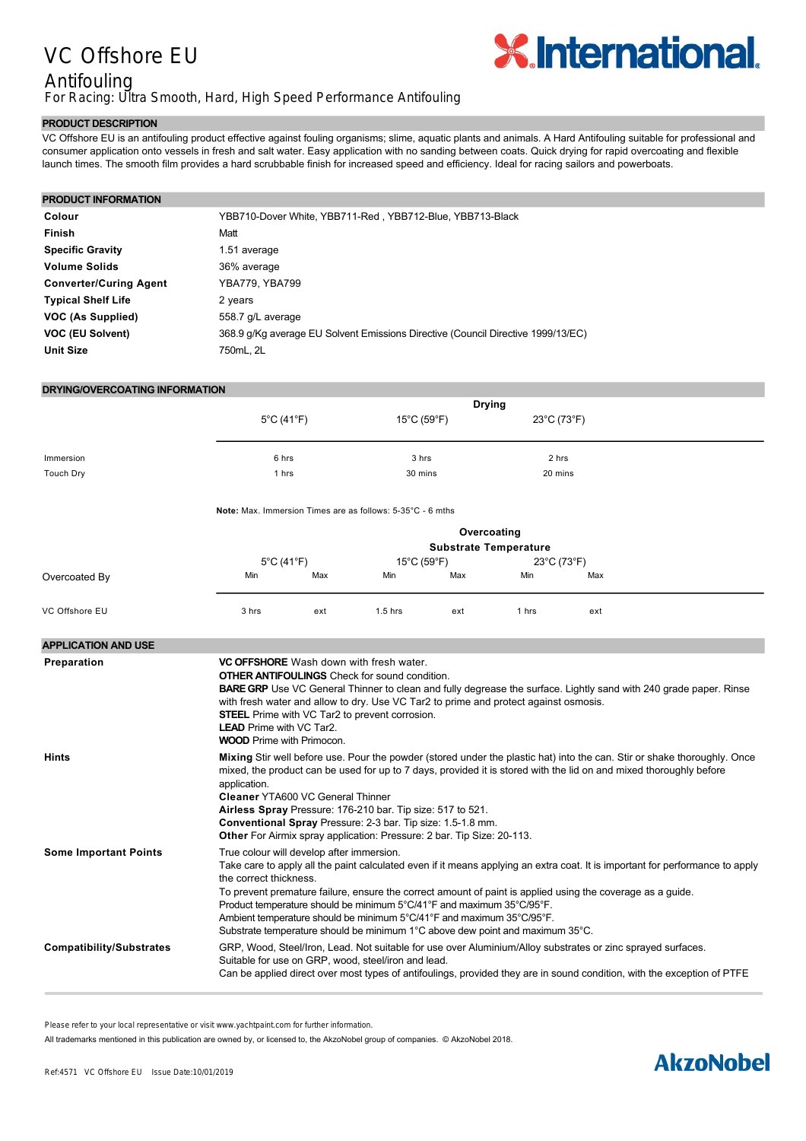# VC Offshore EU

### Antifouling

For Racing: Ultra Smooth, Hard, High Speed Performance Antifouling

#### **PRODUCT DESCRIPTION**

VC Offshore EU is an antifouling product effective against fouling organisms; slime, aquatic plants and animals. A Hard Antifouling suitable for professional and consumer application onto vessels in fresh and salt water. Easy application with no sanding between coats. Quick drying for rapid overcoating and flexible launch times. The smooth film provides a hard scrubbable finish for increased speed and efficiency. Ideal for racing sailors and powerboats.

#### **PRODUCT INFORMATION**

| Colour                        | YBB710-Dover White, YBB711-Red, YBB712-Blue, YBB713-Black                        |
|-------------------------------|----------------------------------------------------------------------------------|
| <b>Finish</b>                 | Matt                                                                             |
| <b>Specific Gravity</b>       | 1.51 average                                                                     |
| <b>Volume Solids</b>          | 36% average                                                                      |
| <b>Converter/Curing Agent</b> | YBA779, YBA799                                                                   |
| <b>Typical Shelf Life</b>     | 2 years                                                                          |
| VOC (As Supplied)             | 558.7 g/L average                                                                |
| VOC (EU Solvent)              | 368.9 g/Kg average EU Solvent Emissions Directive (Council Directive 1999/13/EC) |
| <b>Unit Size</b>              | 750mL, 2L                                                                        |

#### **DRYING/OVERCOATING INFORMATION**

| DRYING/OVERCOATING INFORMATION  |                                                                                                                                                                                                                                                                                                                                                                                                                                                                                                                                                                            |     |                                                                       |     |                                                      |     |  |  |  |  |
|---------------------------------|----------------------------------------------------------------------------------------------------------------------------------------------------------------------------------------------------------------------------------------------------------------------------------------------------------------------------------------------------------------------------------------------------------------------------------------------------------------------------------------------------------------------------------------------------------------------------|-----|-----------------------------------------------------------------------|-----|------------------------------------------------------|-----|--|--|--|--|
|                                 | $5^{\circ}$ C (41 $^{\circ}$ F)<br>6 hrs<br>1 hrs                                                                                                                                                                                                                                                                                                                                                                                                                                                                                                                          |     | <b>Drying</b><br>$15^{\circ}$ C (59 $^{\circ}$ F)<br>3 hrs<br>30 mins |     | $23^{\circ}$ C (73 $^{\circ}$ F)<br>2 hrs<br>20 mins |     |  |  |  |  |
| Immersion<br><b>Touch Dry</b>   |                                                                                                                                                                                                                                                                                                                                                                                                                                                                                                                                                                            |     |                                                                       |     |                                                      |     |  |  |  |  |
|                                 | Note: Max. Immersion Times are as follows: 5-35°C - 6 mths                                                                                                                                                                                                                                                                                                                                                                                                                                                                                                                 |     |                                                                       |     |                                                      |     |  |  |  |  |
|                                 | Overcoating<br><b>Substrate Temperature</b>                                                                                                                                                                                                                                                                                                                                                                                                                                                                                                                                |     |                                                                       |     |                                                      |     |  |  |  |  |
| Overcoated By                   | $5^{\circ}$ C (41 $^{\circ}$ F)<br>Min                                                                                                                                                                                                                                                                                                                                                                                                                                                                                                                                     | Max | 15°C (59°F)<br>Min                                                    | Max | 23°C (73°F)<br>Min                                   | Max |  |  |  |  |
| VC Offshore EU                  | 3 hrs                                                                                                                                                                                                                                                                                                                                                                                                                                                                                                                                                                      | ext | $1.5$ hrs                                                             | ext | 1 hrs                                                | ext |  |  |  |  |
| <b>APPLICATION AND USE</b>      |                                                                                                                                                                                                                                                                                                                                                                                                                                                                                                                                                                            |     |                                                                       |     |                                                      |     |  |  |  |  |
| Preparation                     | <b>VC OFFSHORE</b> Wash down with fresh water.<br><b>OTHER ANTIFOULINGS</b> Check for sound condition.<br><b>BARE GRP</b> Use VC General Thinner to clean and fully degrease the surface. Lightly sand with 240 grade paper. Rinse<br>with fresh water and allow to dry. Use VC Tar2 to prime and protect against osmosis.<br><b>STEEL</b> Prime with VC Tar2 to prevent corrosion.<br><b>LEAD</b> Prime with VC Tar2.<br><b>WOOD</b> Prime with Primocon.                                                                                                                 |     |                                                                       |     |                                                      |     |  |  |  |  |
| Hints                           | Mixing Stir well before use. Pour the powder (stored under the plastic hat) into the can. Stir or shake thoroughly. Once<br>mixed, the product can be used for up to 7 days, provided it is stored with the lid on and mixed thoroughly before<br>application.<br><b>Cleaner YTA600 VC General Thinner</b><br>Airless Spray Pressure: 176-210 bar. Tip size: 517 to 521.<br>Conventional Spray Pressure: 2-3 bar. Tip size: 1.5-1.8 mm.<br>Other For Airmix spray application: Pressure: 2 bar. Tip Size: 20-113.                                                          |     |                                                                       |     |                                                      |     |  |  |  |  |
| <b>Some Important Points</b>    | True colour will develop after immersion.<br>Take care to apply all the paint calculated even if it means applying an extra coat. It is important for performance to apply<br>the correct thickness.<br>To prevent premature failure, ensure the correct amount of paint is applied using the coverage as a guide.<br>Product temperature should be minimum 5°C/41°F and maximum 35°C/95°F.<br>Ambient temperature should be minimum 5°C/41°F and maximum 35°C/95°F.<br>Substrate temperature should be minimum $1^{\circ}$ C above dew point and maximum 35 $^{\circ}$ C. |     |                                                                       |     |                                                      |     |  |  |  |  |
| <b>Compatibility/Substrates</b> | GRP, Wood, Steel/Iron, Lead. Not suitable for use over Aluminium/Alloy substrates or zinc sprayed surfaces.<br>Suitable for use on GRP, wood, steel/iron and lead.<br>Can be applied direct over most types of antifoulings, provided they are in sound condition, with the exception of PTFE                                                                                                                                                                                                                                                                              |     |                                                                       |     |                                                      |     |  |  |  |  |

Please refer to your local representative or visit www.yachtpaint.com for further information.

All trademarks mentioned in this publication are owned by, or licensed to, the AkzoNobel group of companies. © AkzoNobel 2018.